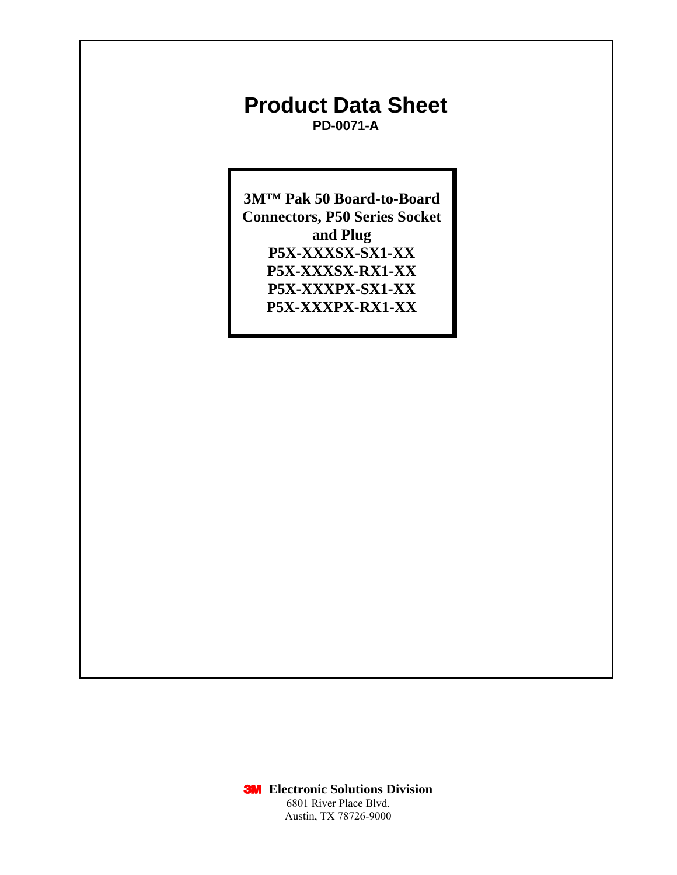# **Product Data Sheet PD-0071-A**

**3M™ Pak 50 Board-to-Board Connectors, P50 Series Socket and Plug P5X-XXXSX-SX1-XX P5X-XXXSX-RX1-XX P5X-XXXPX-SX1-XX P5X-XXXPX-RX1-XX**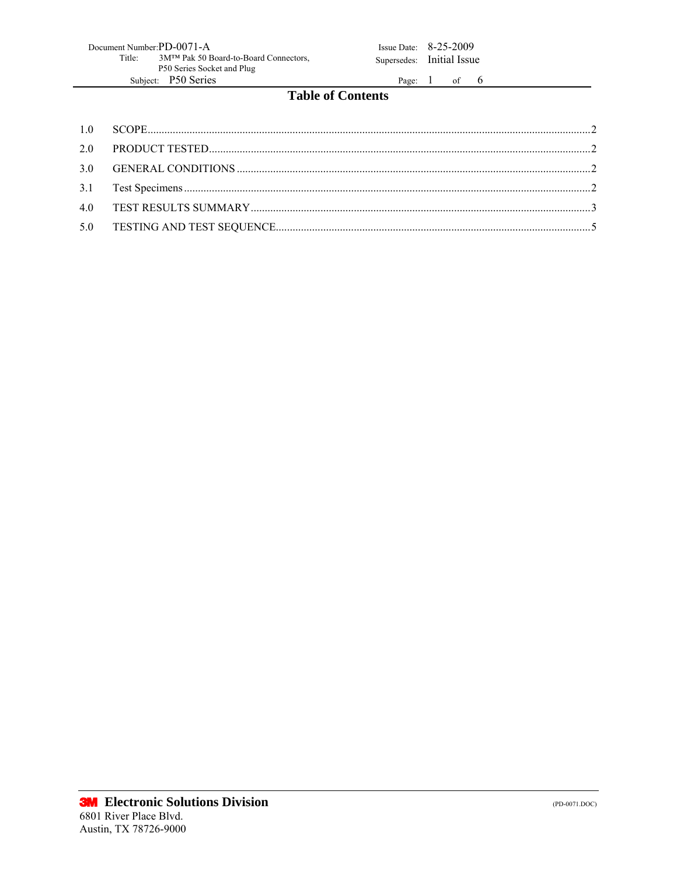| Document Number: PD-0071-A |                                                    |  |  |  |  |  |  |
|----------------------------|----------------------------------------------------|--|--|--|--|--|--|
| Title:                     | 3M <sup>TM</sup> Pak 50 Board-to-Board Connectors, |  |  |  |  |  |  |
| P50 Series Socket and Plug |                                                    |  |  |  |  |  |  |
|                            | Subject: P50 Series                                |  |  |  |  |  |  |

Issue Date:  $8-25-2009$ Supersedes: Initial Issue

Page:  $1$  of 6

## **Table of Contents**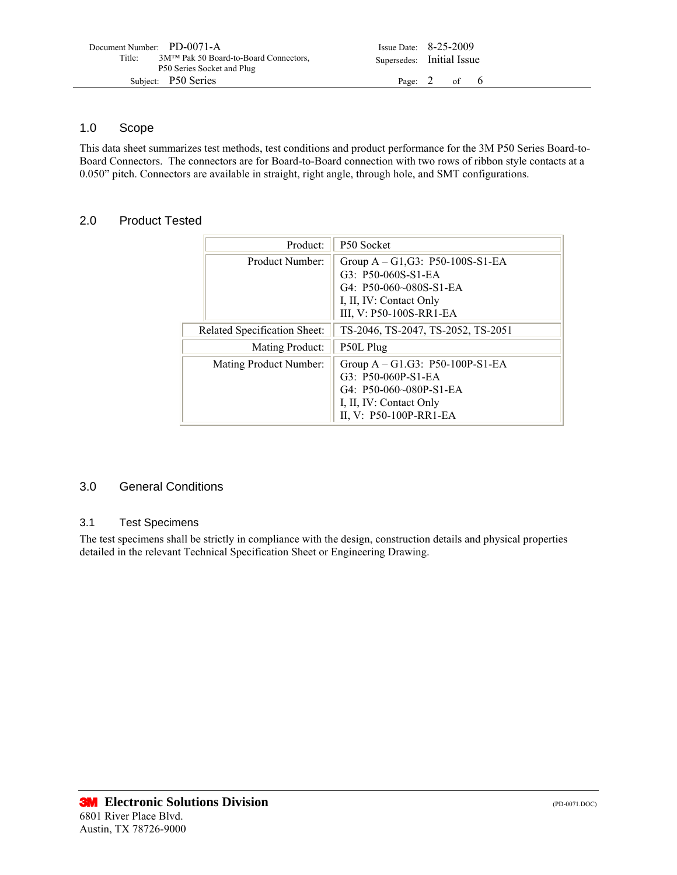| Document Number: PD-0071-A<br>Title:<br>3M <sup>TM</sup> Pak 50 Board-to-Board Connectors,<br>P50 Series Socket and Plug | Issue Date: $8-25-2009$<br>Supersedes: Initial Issue |  |  |
|--------------------------------------------------------------------------------------------------------------------------|------------------------------------------------------|--|--|
| Subject: P50 Series                                                                                                      | Page: $2$ of 6                                       |  |  |

#### 1.0 Scope

This data sheet summarizes test methods, test conditions and product performance for the 3M P50 Series Board-to-Board Connectors. The connectors are for Board-to-Board connection with two rows of ribbon style contacts at a 0.050" pitch. Connectors are available in straight, right angle, through hole, and SMT configurations.

#### 2.0 Product Tested

| Product:                     | P50 Socket                                                     |
|------------------------------|----------------------------------------------------------------|
| Product Number:              | Group $A - G1$ , $G3$ : P50-100S-S1-EA<br>$G3: P50-060S-S1-EA$ |
|                              | $G4: P50-060-080S-S1-EA$                                       |
|                              | I, II, IV: Contact Only                                        |
|                              | III, V: P50-100S-RR1-EA                                        |
| Related Specification Sheet: | TS-2046, TS-2047, TS-2052, TS-2051                             |
| Mating Product:              | P50L Plug                                                      |
| Mating Product Number:       | Group $A - G1.G3$ : P50-100P-S1-EA                             |
|                              | G3: P50-060P-S1-EA                                             |
|                              | $G4: P50-060-080P-S1-EA$                                       |
|                              | I, II, IV: Contact Only                                        |
|                              | II, V: P50-100P-RR1-EA                                         |

#### 3.0 General Conditions

#### 3.1 Test Specimens

The test specimens shall be strictly in compliance with the design, construction details and physical properties detailed in the relevant Technical Specification Sheet or Engineering Drawing.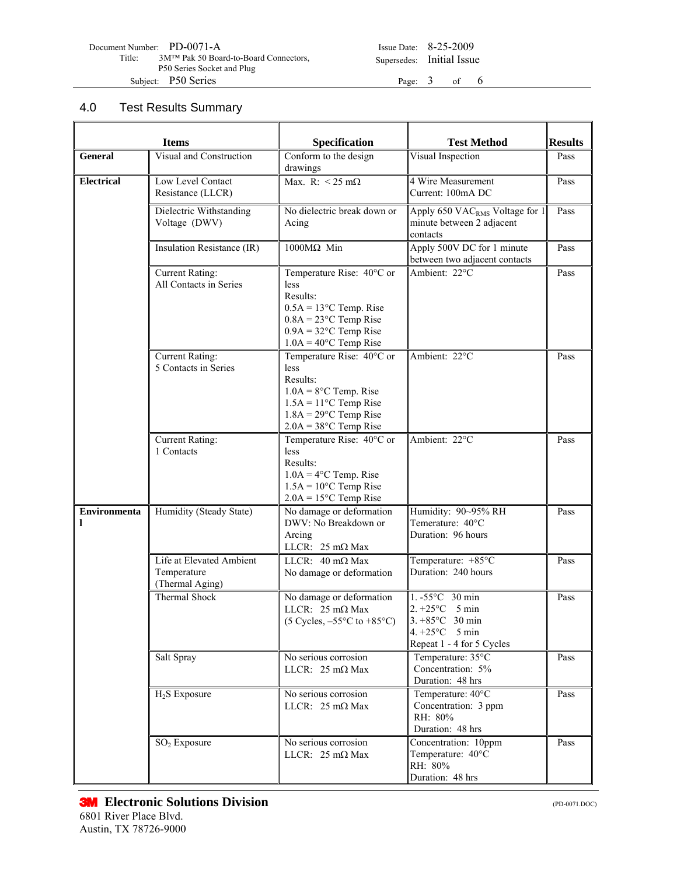| Document Number: PD-0071-A |                                       |
|----------------------------|---------------------------------------|
| Title:                     | 3M™ Pak 50 Board-to-Board Connectors, |
|                            | P50 Series Socket and Plug            |
|                            | Subject: P50 Series                   |

Issue Date: 8-25-2009 Supersedes: Initial Issue

Page:  $3$  of 6

### 4.0 Test Results Summary

| <b>Items</b>             |                                                            | Specification                                                                                                                                                         | <b>Test Method</b>                                                                                                                | <b>Results</b> |
|--------------------------|------------------------------------------------------------|-----------------------------------------------------------------------------------------------------------------------------------------------------------------------|-----------------------------------------------------------------------------------------------------------------------------------|----------------|
| General                  | Visual and Construction                                    | Conform to the design<br>drawings                                                                                                                                     | Visual Inspection                                                                                                                 | Pass           |
| <b>Electrical</b>        | Low Level Contact<br>Resistance (LLCR)                     | Max. R: $<$ 25 m $\Omega$                                                                                                                                             | 4 Wire Measurement<br>Current: 100mA DC                                                                                           | Pass           |
|                          | Dielectric Withstanding<br>Voltage (DWV)                   | No dielectric break down or<br>Acing                                                                                                                                  | Apply 650 VAC <sub>RMS</sub> Voltage for 1<br>minute between 2 adjacent<br>contacts                                               | Pass           |
|                          | Insulation Resistance (IR)                                 | $1000M\Omega$ Min                                                                                                                                                     | Apply 500V DC for 1 minute<br>between two adjacent contacts                                                                       | Pass           |
|                          | <b>Current Rating:</b><br>All Contacts in Series           | Temperature Rise: 40°C or<br>less<br>Results:<br>$0.5A = 13$ °C Temp. Rise<br>$0.8A = 23$ °C Temp Rise<br>$0.9A = 32$ °C Temp Rise<br>$1.0A = 40^{\circ}$ C Temp Rise | Ambient: 22°C                                                                                                                     | Pass           |
|                          | <b>Current Rating:</b><br>5 Contacts in Series             | Temperature Rise: 40°C or<br><i>less</i><br>Results:<br>$1.0A = 8$ °C Temp. Rise<br>$1.5A = 11$ °C Temp Rise<br>$1.8A = 29$ °C Temp Rise<br>$2.0A = 38$ °C Temp Rise  | Ambient: 22°C                                                                                                                     | Pass           |
|                          | <b>Current Rating:</b><br>1 Contacts                       | Temperature Rise: 40°C or<br>less<br>Results:<br>$1.0A = 4^{\circ}C$ Temp. Rise<br>$1.5A = 10^{\circ}$ C Temp Rise<br>$2.0A = 15^{\circ}$ C Temp Rise                 | Ambient: 22°C                                                                                                                     | Pass           |
| <b>Environmenta</b><br>ı | Humidity (Steady State)                                    | No damage or deformation<br>DWV: No Breakdown or<br>Arcing<br>LLCR: $25 \text{ mA}$ Max                                                                               | Humidity: 90~95% RH<br>Temerature: 40°C<br>Duration: 96 hours                                                                     | Pass           |
|                          | Life at Elevated Ambient<br>Temperature<br>(Thermal Aging) | LLCR: $40 \text{ m}\Omega$ Max<br>No damage or deformation                                                                                                            | Temperature: +85°C<br>Duration: 240 hours                                                                                         | Pass           |
|                          | Thermal Shock                                              | No damage or deformation<br>LLCR: $25 \text{ mA}$ Max<br>$(5 \text{ Cycles}, -55^{\circ} \text{C} \text{ to } +85^{\circ} \text{C})$                                  | 1. -55°C 30 min<br>$2. +25^{\circ}$ C 5 min<br>$3. +85^{\circ}$ C 30 min<br>4. $+25^{\circ}$ C 5 min<br>Repeat 1 - 4 for 5 Cycles | Pass           |
|                          | Salt Spray                                                 | No serious corrosion<br>LLCR: $25 \text{ mA}$ Max                                                                                                                     | Temperature: 35°C<br>Concentration: 5%<br>Duration: 48 hrs                                                                        | Pass           |
|                          | $H_2S$ Exposure                                            | No serious corrosion<br>LLCR: $25 \text{ m}\Omega$ Max                                                                                                                | Temperature: $40^{\circ}$ C<br>Concentration: 3 ppm<br>RH: 80%<br>Duration: 48 hrs                                                | Pass           |
|                          | $SO2$ Exposure                                             | No serious corrosion<br>LLCR: $25 \text{ m}\Omega$ Max                                                                                                                | Concentration: 10ppm<br>Temperature: 40°C<br>RH: 80%<br>Duration: 48 hrs                                                          | Pass           |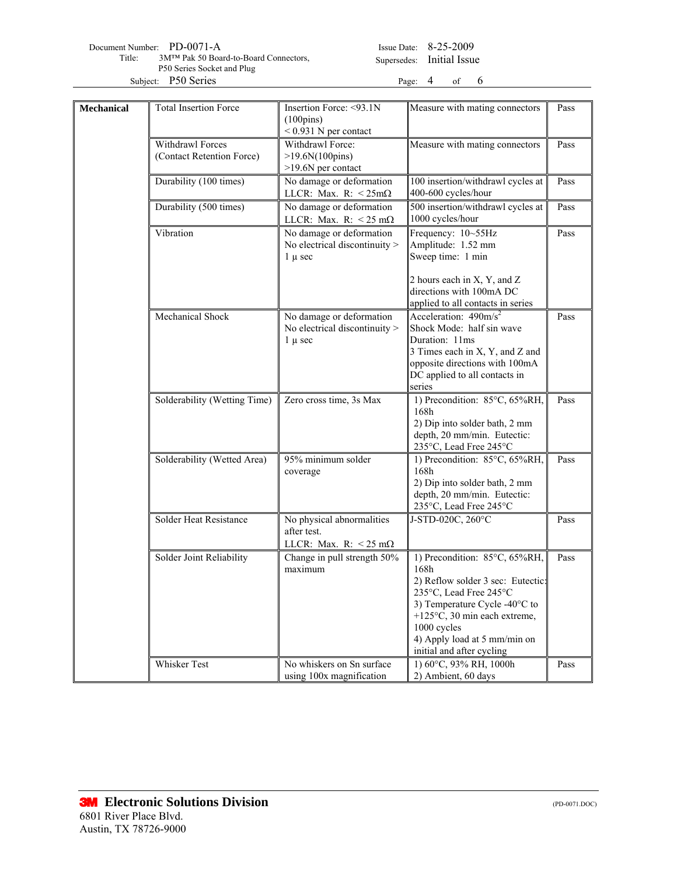| Document Number: PD-0071-A                      | Issue Date: $8-25-2009$   |  |  |
|-------------------------------------------------|---------------------------|--|--|
| 3M™ Pak 50 Board-to-Board Connectors,<br>Title: | Supersedes: Initial Issue |  |  |
| P50 Series Socket and Plug                      |                           |  |  |
| Subject: P50 Series                             | Page: $4$ of $6$          |  |  |

Issue Date: 8-25-2009 Supersedes: Initial Issue

| Mechanical | <b>Total Insertion Force</b>                  | Insertion Force: <93.1N<br>$(100 \text{pins})$                              | Measure with mating connectors                                                                                                                                                                                                                              | Pass |
|------------|-----------------------------------------------|-----------------------------------------------------------------------------|-------------------------------------------------------------------------------------------------------------------------------------------------------------------------------------------------------------------------------------------------------------|------|
|            |                                               | $< 0.931$ N per contact                                                     |                                                                                                                                                                                                                                                             |      |
|            | Withdrawl Forces<br>(Contact Retention Force) | Withdrawl Force:<br>$>19.6N(100 \text{pins})$<br>>19.6N per contact         | Measure with mating connectors                                                                                                                                                                                                                              | Pass |
|            | Durability (100 times)                        | No damage or deformation<br>LLCR: Max. R: $< 25 \text{m}\Omega$             | 100 insertion/withdrawl cycles at<br>400-600 cycles/hour                                                                                                                                                                                                    | Pass |
|            | Durability (500 times)                        | No damage or deformation<br>LLCR: Max. R: $< 25$ m $\Omega$                 | 500 insertion/withdrawl cycles at<br>1000 cycles/hour                                                                                                                                                                                                       | Pass |
|            | Vibration                                     | No damage or deformation<br>No electrical discontinuity ><br>$1 \mu \sec$   | Frequency: 10~55Hz<br>Amplitude: 1.52 mm<br>Sweep time: 1 min                                                                                                                                                                                               | Pass |
|            |                                               |                                                                             | 2 hours each in X, Y, and Z<br>directions with 100mA DC<br>applied to all contacts in series                                                                                                                                                                |      |
|            | Mechanical Shock                              | No damage or deformation<br>No electrical discontinuity ><br>$1 \mu \sec$   | Acceleration: $490 \text{m/s}^2$<br>Shock Mode: half sin wave<br>Duration: 11ms<br>3 Times each in X, Y, and Z and<br>opposite directions with 100mA<br>DC applied to all contacts in<br>series                                                             | Pass |
|            | Solderability (Wetting Time)                  | Zero cross time, 3s Max                                                     | 1) Precondition: 85°C, 65%RH,<br>168h<br>2) Dip into solder bath, 2 mm<br>depth, 20 mm/min. Eutectic:<br>235°C, Lead Free 245°C                                                                                                                             | Pass |
|            | Solderability (Wetted Area)                   | 95% minimum solder<br>coverage                                              | 1) Precondition: 85°C, 65%RH,<br>168h<br>2) Dip into solder bath, 2 mm<br>depth, 20 mm/min. Eutectic:<br>235°C, Lead Free 245°C                                                                                                                             | Pass |
|            | Solder Heat Resistance                        | No physical abnormalities<br>after test.<br>LLCR: Max. R: $<$ 25 m $\Omega$ | J-STD-020C, 260°C                                                                                                                                                                                                                                           | Pass |
|            | Solder Joint Reliability                      | Change in pull strength 50%<br>maximum                                      | 1) Precondition: 85°C, 65%RH,<br>168h<br>2) Reflow solder 3 sec: Eutectic:<br>235°C, Lead Free 245°C<br>3) Temperature Cycle -40°C to<br>+125 $\degree$ C, 30 min each extreme,<br>1000 cycles<br>4) Apply load at 5 mm/min on<br>initial and after cycling | Pass |
|            | Whisker Test                                  | No whiskers on Sn surface<br>using 100x magnification                       | 1) 60°C, 93% RH, 1000h<br>2) Ambient, 60 days                                                                                                                                                                                                               | Pass |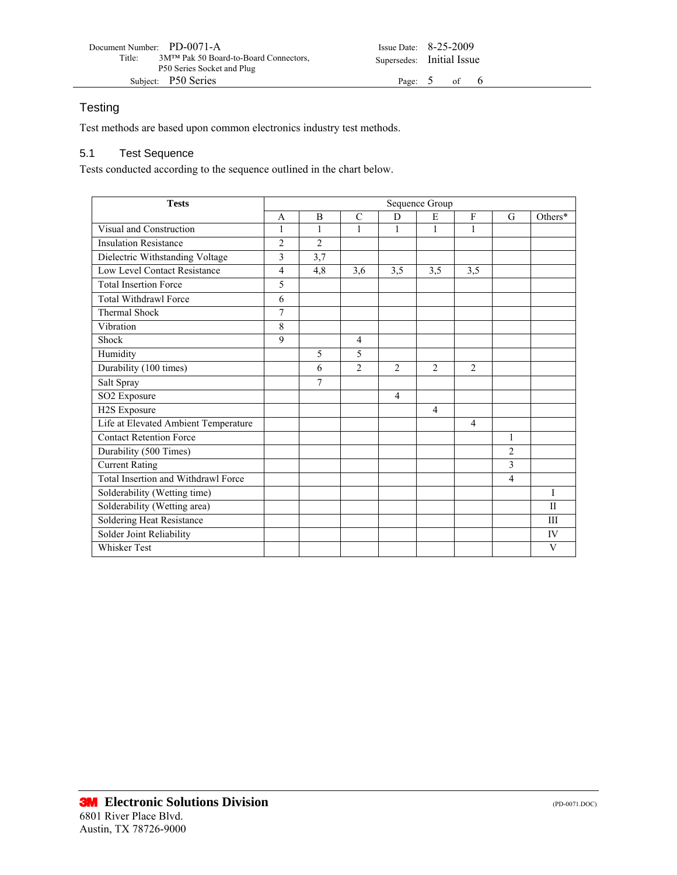| Document Number: PD-0071-A                        | Issue Date: $8-25-2009$   |  |  |
|---------------------------------------------------|---------------------------|--|--|
| 3M™ Pak 50 Board-to-Board Connectors,<br>Title:   | Supersedes: Initial Issue |  |  |
| P50 Series Socket and Plug<br>Subject: P50 Series | Page: $5$ of $6$          |  |  |

### **Testing**

Test methods are based upon common electronics industry test methods.

### 5.1 Test Sequence

Tests conducted according to the sequence outlined in the chart below.

| <b>Tests</b>                         |                |                |                |                | Sequence Group              |                |                |              |
|--------------------------------------|----------------|----------------|----------------|----------------|-----------------------------|----------------|----------------|--------------|
|                                      | A              | B              | C              | D              | E                           | F              | G              | Others*      |
| Visual and Construction              | 1              | 1              | 1              | 1              | 1                           |                |                |              |
| <b>Insulation Resistance</b>         | $\overline{2}$ | $\overline{2}$ |                |                |                             |                |                |              |
| Dielectric Withstanding Voltage      | 3              | 3,7            |                |                |                             |                |                |              |
| Low Level Contact Resistance         | $\overline{4}$ | 4,8            | 3,6            | 3,5            | 3,5                         | 3,5            |                |              |
| <b>Total Insertion Force</b>         | 5              |                |                |                |                             |                |                |              |
| <b>Total Withdrawl Force</b>         | 6              |                |                |                |                             |                |                |              |
| <b>Thermal Shock</b>                 | 7              |                |                |                |                             |                |                |              |
| Vibration                            | 8              |                |                |                |                             |                |                |              |
| Shock                                | 9              |                | $\overline{4}$ |                |                             |                |                |              |
| Humidity                             |                | 5              | 5              |                |                             |                |                |              |
| Durability (100 times)               |                | 6              | $\mathfrak{D}$ | $\mathfrak{D}$ | $\mathcal{D}_{\mathcal{L}}$ | $\overline{2}$ |                |              |
| Salt Spray                           |                | $\overline{7}$ |                |                |                             |                |                |              |
| SO2 Exposure                         |                |                |                | 4              |                             |                |                |              |
| H2S Exposure                         |                |                |                |                | 4                           |                |                |              |
| Life at Elevated Ambient Temperature |                |                |                |                |                             | $\overline{4}$ |                |              |
| <b>Contact Retention Force</b>       |                |                |                |                |                             |                | 1              |              |
| Durability (500 Times)               |                |                |                |                |                             |                | $\overline{c}$ |              |
| <b>Current Rating</b>                |                |                |                |                |                             |                | 3              |              |
| Total Insertion and Withdrawl Force  |                |                |                |                |                             |                | $\overline{4}$ |              |
| Solderability (Wetting time)         |                |                |                |                |                             |                |                | I            |
| Solderability (Wetting area)         |                |                |                |                |                             |                |                | $\mathbf{H}$ |
| Soldering Heat Resistance            |                |                |                |                |                             |                |                | Ш            |
| Solder Joint Reliability             |                |                |                |                |                             |                |                | IV           |
| <b>Whisker Test</b>                  |                |                |                |                |                             |                |                | V            |